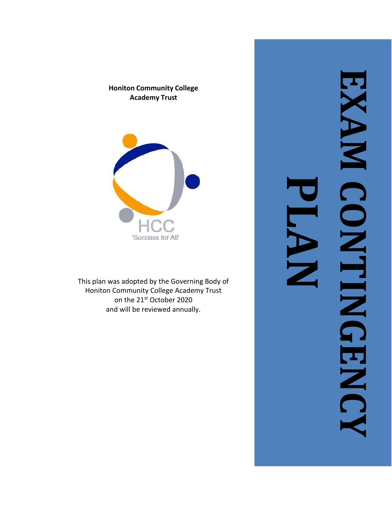#### **Honiton Community College Academy Trust**



This plan was adopted by the Governing Body of Honiton Community College Academy Trust on the 21st October 2020 and will be reviewed annually.

**EXAM PLAN CONTINENC CONTINGENCY**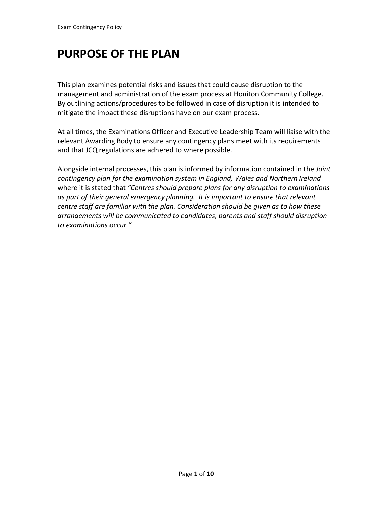# **PURPOSE OF THE PLAN**

This plan examines potential risks and issues that could cause disruption to the management and administration of the exam process at Honiton Community College. By outlining actions/procedures to be followed in case of disruption it is intended to mitigate the impact these disruptions have on our exam process.

At all times, the Examinations Officer and Executive Leadership Team will liaise with the relevant Awarding Body to ensure any contingency plans meet with its requirements and that JCQ regulations are adhered to where possible.

Alongside internal processes, this plan is informed by information contained in the *Joint contingency plan for the examination system in England, Wales and Northern Ireland*  where it is stated that *"Centres should prepare plans for any disruption to examinations as part of their general emergency planning. It is important to ensure that relevant centre staff are familiar with the plan. Consideration should be given as to how these arrangements will be communicated to candidates, parents and staff should disruption to examinations occur."*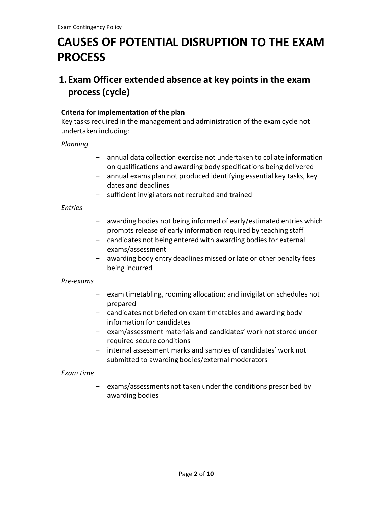# **CAUSES OF POTENTIAL DISRUPTION TO THE EXAM PROCESS**

# **1. Exam Officer extended absence at key points in the exam process (cycle)**

#### **Criteria for implementation of the plan**

Key tasks required in the management and administration of the exam cycle not undertaken including:

#### *Planning*

- annual data collection exercise not undertaken to collate information on qualifications and awarding body specifications being delivered
- annual exams plan not produced identifying essential key tasks, key dates and deadlines
- sufficient invigilators not recruited and trained

#### *Entries*

- awarding bodies not being informed of early/estimated entries which prompts release of early information required by teaching staff
- candidates not being entered with awarding bodies for external exams/assessment
- awarding body entry deadlines missed or late or other penalty fees being incurred

#### *Pre-exams*

- exam timetabling, rooming allocation; and invigilation schedules not prepared
- candidates not briefed on exam timetables and awarding body information for candidates
- exam/assessment materials and candidates' work not stored under required secure conditions
- internal assessment marks and samples of candidates' work not submitted to awarding bodies/external moderators

#### *Exam time*

- exams/assessments not taken under the conditions prescribed by awarding bodies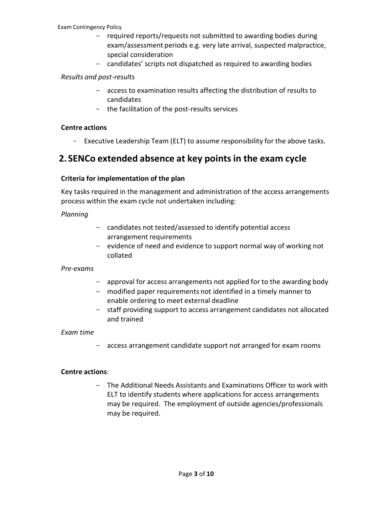#### Exam Contingency Policy

- required reports/requests not submitted to awarding bodies during exam/assessment periods e.g. very late arrival, suspected malpractice, special consideration
- candidates' scripts not dispatched as required to awarding bodies

#### *Results and post-results*

- access to examination results affecting the distribution of results to candidates
- the facilitation of the post-results services

#### **Centre actions**

- Executive Leadership Team (ELT) to assume responsibility for the above tasks.

### **2. SENCo extended absence at key pointsin the exam cycle**

#### **Criteria for implementation of the plan**

Key tasks required in the management and administration of the access arrangements process within the exam cycle not undertaken including:

#### *Planning*

- candidates not tested/assessed to identify potential access arrangement requirements
- evidence of need and evidence to support normal way of working not collated

#### *Pre-exams*

- approval for access arrangements not applied for to the awarding body
- modified paper requirements not identified in a timely manner to enable ordering to meet external deadline
- staff providing support to access arrangement candidates not allocated and trained

#### *Exam time*

- access arrangement candidate support not arranged for exam rooms

#### **Centre actions**:

- The Additional Needs Assistants and Examinations Officer to work with ELT to identify students where applications for access arrangements may be required. The employment of outside agencies/professionals may be required.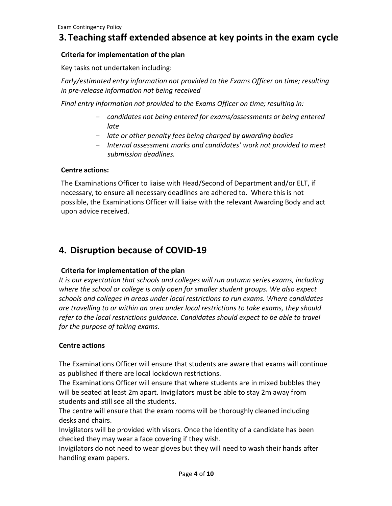### **3.Teaching staff extended absence at key points in the exam cycle**

#### **Criteria for implementation of the plan**

Key tasks not undertaken including:

*Early/estimated entry information not provided to the Exams Officer on time; resulting in pre-release information not being received*

*Final entry information not provided to the Exams Officer on time; resulting in:*

- *candidates not being entered for exams/assessments or being entered late*
- *late or other penalty fees being charged by awarding bodies*
- *Internal assessment marks and candidates' work not provided to meet submission deadlines.*

#### **Centre actions:**

The Examinations Officer to liaise with Head/Second of Department and/or ELT, if necessary, to ensure all necessary deadlines are adhered to. Where this is not possible, the Examinations Officer will liaise with the relevant Awarding Body and act upon advice received.

### **4. Disruption because of COVID-19**

#### **Criteria for implementation of the plan**

*It is our expectation that schools and colleges will run autumn series exams, including where the school or college is only open for smaller student groups. We also expect schools and colleges in areas under local restrictions to run exams. Where candidates are travelling to or within an area under local restrictions to take exams, they should refer to the local restrictions guidance. Candidates should expect to be able to travel for the purpose of taking exams.*

#### **Centre actions**

The Examinations Officer will ensure that students are aware that exams will continue as published if there are local lockdown restrictions.

The Examinations Officer will ensure that where students are in mixed bubbles they will be seated at least 2m apart. Invigilators must be able to stay 2m away from students and still see all the students.

The centre will ensure that the exam rooms will be thoroughly cleaned including desks and chairs.

Invigilators will be provided with visors. Once the identity of a candidate has been checked they may wear a face covering if they wish.

Invigilators do not need to wear gloves but they will need to wash their hands after handling exam papers.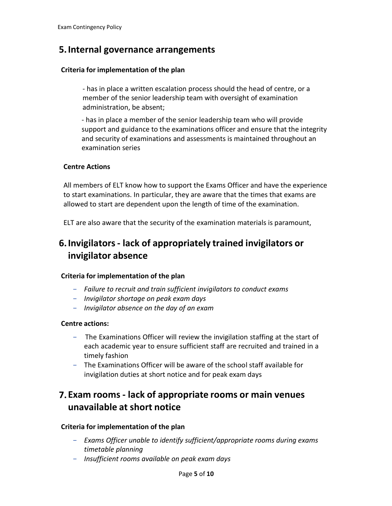# **5.Internal governance arrangements**

#### **Criteria for implementation of the plan**

- has in place a written escalation process should the head of centre, or a member of the senior leadership team with oversight of examination administration, be absent;

- has in place a member of the senior leadership team who will provide support and guidance to the examinations officer and ensure that the integrity and security of examinations and assessments is maintained throughout an examination series

#### **Centre Actions**

All members of ELT know how to support the Exams Officer and have the experience to start examinations. In particular, they are aware that the times that exams are allowed to start are dependent upon the length of time of the examination.

ELT are also aware that the security of the examination materials is paramount,

# **6.Invigilators- lack of appropriately trained invigilators or invigilator absence**

#### **Criteria for implementation of the plan**

- *Failure to recruit and train sufficient invigilators to conduct exams*
- *Invigilator shortage on peak exam days*
- *Invigilator absence on the day of an exam*

#### **Centre actions:**

- The Examinations Officer will review the invigilation staffing at the start of each academic year to ensure sufficient staff are recruited and trained in a timely fashion
- The Examinations Officer will be aware of the school staff available for invigilation duties at short notice and for peak exam days

### **7. Exam rooms - lack of appropriate rooms or main venues unavailable at short notice**

#### **Criteria for implementation of the plan**

- *Exams Officer unable to identify sufficient/appropriate rooms during exams timetable planning*
- *Insufficient rooms available on peak exam days*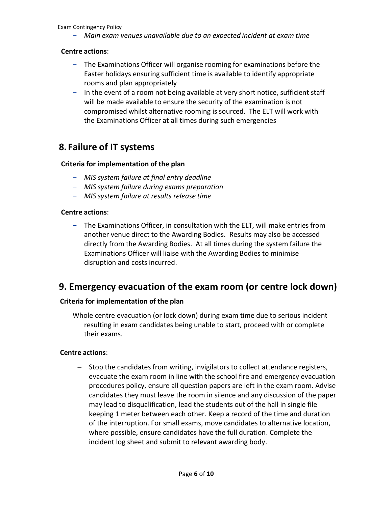Exam Contingency Policy

- *Main exam venues unavailable due to an expected incident at exam time*

#### **Centre actions**:

- The Examinations Officer will organise rooming for examinations before the Easter holidays ensuring sufficient time is available to identify appropriate rooms and plan appropriately
- In the event of a room not being available at very short notice, sufficient staff will be made available to ensure the security of the examination is not compromised whilst alternative rooming is sourced. The ELT will work with the Examinations Officer at all times during such emergencies

### **8. Failure of IT systems**

#### **Criteria for implementation of the plan**

- *MIS system failure at final entry deadline*
- *MIS system failure during exams preparation*
- *MIS system failure at results release time*

#### **Centre actions**:

- The Examinations Officer, in consultation with the ELT, will make entries from another venue direct to the Awarding Bodies. Results may also be accessed directly from the Awarding Bodies. At all times during the system failure the Examinations Officer will liaise with the Awarding Bodies to minimise disruption and costs incurred.

### **9. Emergency evacuation of the exam room (or centre lock down)**

#### **Criteria for implementation of the plan**

Whole centre evacuation (or lock down) during exam time due to serious incident resulting in exam candidates being unable to start, proceed with or complete their exams.

#### **Centre actions**:

− Stop the candidates from writing, invigilators to collect attendance registers, evacuate the exam room in line with the school fire and emergency evacuation procedures policy, ensure all question papers are left in the exam room. Advise candidates they must leave the room in silence and any discussion of the paper may lead to disqualification, lead the students out of the hall in single file keeping 1 meter between each other. Keep a record of the time and duration of the interruption. For small exams, move candidates to alternative location, where possible, ensure candidates have the full duration. Complete the incident log sheet and submit to relevant awarding body.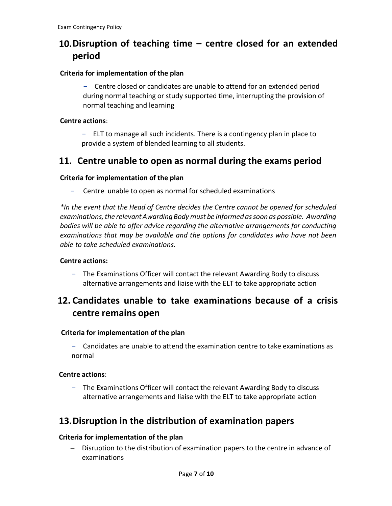# **10.Disruption of teaching time – centre closed for an extended period**

#### **Criteria for implementation of the plan**

- Centre closed or candidates are unable to attend for an extended period during normal teaching or study supported time, interrupting the provision of normal teaching and learning

#### **Centre actions**:

- ELT to manage all such incidents. There is a contingency plan in place to provide a system of blended learning to all students.

### **11. Centre unable to open as normal during the exams period**

#### **Criteria for implementation of the plan**

- Centre unable to open as normal for scheduled examinations

*\*In the event that the Head of Centre decides the Centre cannot be opened for scheduled examinations,the relevantAwardingBodymust be informedassoon as possible. Awarding bodies will be able to offer advice regarding the alternative arrangements for conducting examinations that may be available and the options for candidates who have not been able to take scheduled examinations.*

#### **Centre actions:**

- The Examinations Officer will contact the relevant Awarding Body to discuss alternative arrangements and liaise with the ELT to take appropriate action

# **12. Candidates unable to take examinations because of a crisis centre remains open**

#### **Criteria for implementation of the plan**

- Candidates are unable to attend the examination centre to take examinations as normal

#### **Centre actions**:

- The Examinations Officer will contact the relevant Awarding Body to discuss alternative arrangements and liaise with the ELT to take appropriate action

### **13.Disruption in the distribution of examination papers**

#### **Criteria for implementation of the plan**

− Disruption to the distribution of examination papers to the centre in advance of examinations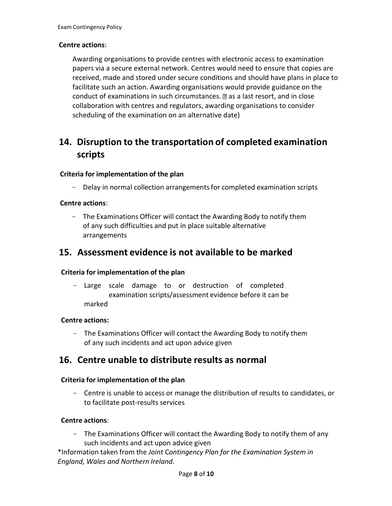#### **Centre actions**:

Awarding organisations to provide centres with electronic access to examination papers via a secure external network. Centres would need to ensure that copies are received, made and stored under secure conditions and should have plans in place to facilitate such an action. Awarding organisations would provide guidance on the conduct of examinations in such circumstances.  $\mathbb Z$  as a last resort, and in close collaboration with centres and regulators, awarding organisations to consider scheduling of the examination on an alternative date)

# **14. Disruption to the transportation of completed examination scripts**

#### **Criteria for implementation of the plan**

Delay in normal collection arrangements for completed examination scripts

#### **Centre actions**:

- The Examinations Officer will contact the Awarding Body to notify them of any such difficulties and put in place suitable alternative arrangements

### **15. Assessment evidence is not available to be marked**

#### **Criteria for implementation of the plan**

- Large scale damage to or destruction of completed examination scripts/assessment evidence before it can be marked

#### **Centre actions:**

- The Examinations Officer will contact the Awarding Body to notify them of any such incidents and act upon advice given

### **16. Centre unable to distribute results as normal**

#### **Criteria for implementation of the plan**

- Centre is unable to access or manage the distribution of results to candidates, or to facilitate post-results services

#### **Centre actions**:

- The Examinations Officer will contact the Awarding Body to notify them of any such incidents and act upon advice given

\*Information taken from the *Joint* C*ontingency Plan for the Examination System in England, Wales and Northern Ireland.*